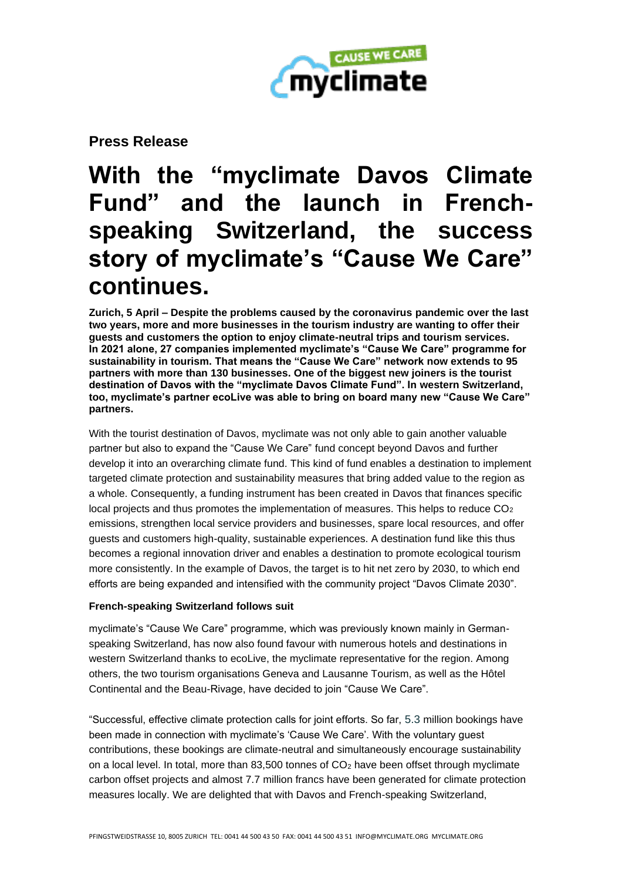

**Press Release**

# **With the "myclimate Davos Climate Fund" and the launch in Frenchspeaking Switzerland, the success story of myclimate's "Cause We Care" continues.**

**Zurich, 5 April – Despite the problems caused by the coronavirus pandemic over the last two years, more and more businesses in the tourism industry are wanting to offer their guests and customers the option to enjoy climate-neutral trips and tourism services. In 2021 alone, 27 companies implemented myclimate's "Cause We Care" programme for sustainability in tourism. That means the "Cause We Care" network now extends to 95 partners with more than 130 businesses. One of the biggest new joiners is the tourist destination of Davos with the "myclimate Davos Climate Fund". In western Switzerland, too, myclimate's partner ecoLive was able to bring on board many new "Cause We Care" partners.**

With the tourist destination of Davos, myclimate was not only able to gain another valuable partner but also to expand the "Cause We Care" fund concept beyond Davos and further develop it into an overarching climate fund. This kind of fund enables a destination to implement targeted climate protection and sustainability measures that bring added value to the region as a whole. Consequently, a funding instrument has been created in Davos that finances specific local projects and thus promotes the implementation of measures. This helps to reduce CO<sub>2</sub> emissions, strengthen local service providers and businesses, spare local resources, and offer guests and customers high-quality, sustainable experiences. A destination fund like this thus becomes a regional innovation driver and enables a destination to promote ecological tourism more consistently. In the example of Davos, the target is to hit net zero by 2030, to which end efforts are being expanded and intensified with the community project "Davos Climate 2030".

## **French-speaking Switzerland follows suit**

myclimate's "Cause We Care" programme, which was previously known mainly in Germanspeaking Switzerland, has now also found favour with numerous hotels and destinations in western Switzerland thanks to ecoLive, the myclimate representative for the region. Among others, the two tourism organisations Geneva and Lausanne Tourism, as well as the Hôtel Continental and the Beau-Rivage, have decided to join "Cause We Care".

"Successful, effective climate protection calls for joint efforts. So far, 5.3 million bookings have been made in connection with myclimate's 'Cause We Care'. With the voluntary guest contributions, these bookings are climate-neutral and simultaneously encourage sustainability on a local level. In total, more than 83,500 tonnes of  $CO<sub>2</sub>$  have been offset through myclimate carbon offset projects and almost 7.7 million francs have been generated for climate protection measures locally. We are delighted that with Davos and French-speaking Switzerland,